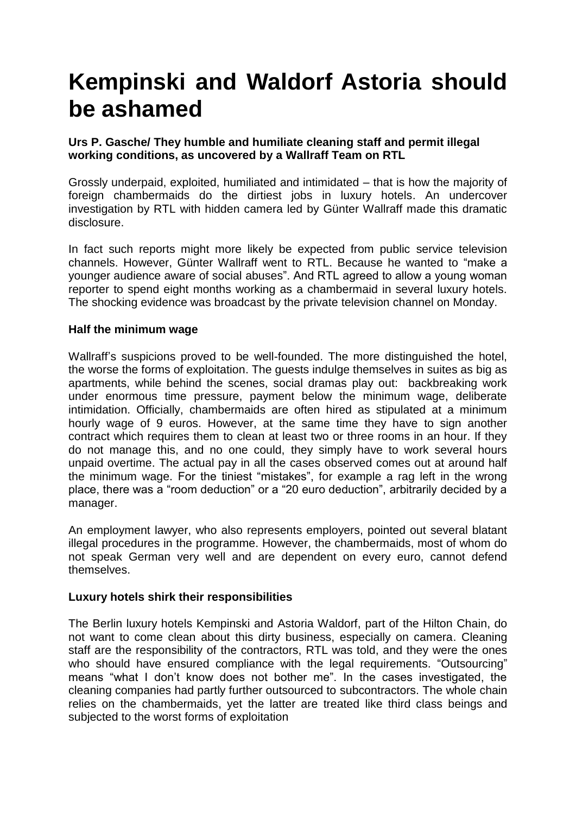# **Kempinski and Waldorf Astoria should be ashamed**

## **Urs P. Gasche/ They humble and humiliate cleaning staff and permit illegal working conditions, as uncovered by a Wallraff Team on RTL**

Grossly underpaid, exploited, humiliated and intimidated – that is how the majority of foreign chambermaids do the dirtiest jobs in luxury hotels. An undercover investigation by RTL with hidden camera led by Günter Wallraff made this dramatic disclosure.

In fact such reports might more likely be expected from public service television channels. However, Günter Wallraff went to RTL. Because he wanted to "make a younger audience aware of social abuses". And RTL agreed to allow a young woman reporter to spend eight months working as a chambermaid in several luxury hotels. The shocking evidence was broadcast by the private television channel on Monday.

### **Half the minimum wage**

Wallraff's suspicions proved to be well-founded. The more distinguished the hotel, the worse the forms of exploitation. The guests indulge themselves in suites as big as apartments, while behind the scenes, social dramas play out: backbreaking work under enormous time pressure, payment below the minimum wage, deliberate intimidation. Officially, chambermaids are often hired as stipulated at a minimum hourly wage of 9 euros. However, at the same time they have to sign another contract which requires them to clean at least two or three rooms in an hour. If they do not manage this, and no one could, they simply have to work several hours unpaid overtime. The actual pay in all the cases observed comes out at around half the minimum wage. For the tiniest "mistakes", for example a rag left in the wrong place, there was a "room deduction" or a "20 euro deduction", arbitrarily decided by a manager.

An employment lawyer, who also represents employers, pointed out several blatant illegal procedures in the programme. However, the chambermaids, most of whom do not speak German very well and are dependent on every euro, cannot defend themselves.

### **Luxury hotels shirk their responsibilities**

The Berlin luxury hotels Kempinski and Astoria Waldorf, part of the Hilton Chain, do not want to come clean about this dirty business, especially on camera. Cleaning staff are the responsibility of the contractors, RTL was told, and they were the ones who should have ensured compliance with the legal requirements. "Outsourcing" means "what I don't know does not bother me". In the cases investigated, the cleaning companies had partly further outsourced to subcontractors. The whole chain relies on the chambermaids, yet the latter are treated like third class beings and subjected to the worst forms of exploitation